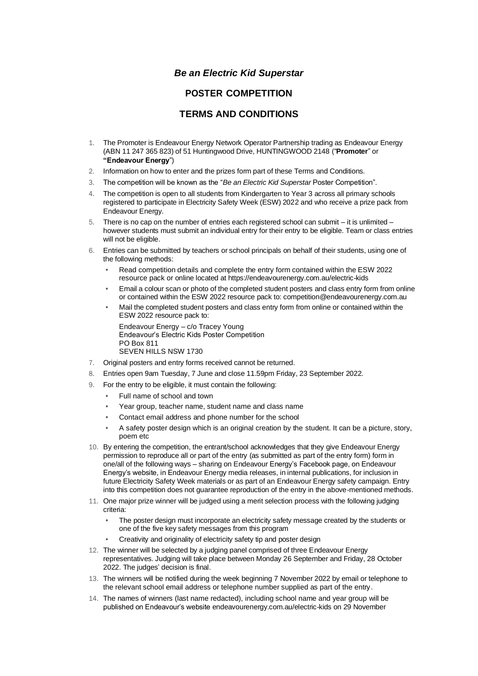## *Be an Electric Kid Superstar*

## **POSTER COMPETITION**

## **TERMS AND CONDITIONS**

- 1. The Promoter is Endeavour Energy Network Operator Partnership trading as Endeavour Energy (ABN 11 247 365 823) of 51 Huntingwood Drive, HUNTINGWOOD 2148 ("**Promoter**" or **"Endeavour Energy**")
- 2. Information on how to enter and the prizes form part of these Terms and Conditions.
- 3. The competition will be known as the "*Be an Electric Kid Superstar* Poster Competition".
- 4. The competition is open to all students from Kindergarten to Year 3 across all primary schools registered to participate in Electricity Safety Week (ESW) 2022 and who receive a prize pack from Endeavour Energy.
- 5. There is no cap on the number of entries each registered school can submit it is unlimited however students must submit an individual entry for their entry to be eligible. Team or class entries will not be eligible.
- 6. Entries can be submitted by teachers or school principals on behalf of their students, using one of the following methods:
	- Read competition details and complete the entry form contained within the ESW 2022 resource pack or online located at https://endeavourenergy.com.au/electric-kids
	- Email a colour scan or photo of the completed student posters and class entry form from online or contained within the ESW 2022 resource pack to: competition@endeavourenergy.com.au
	- Mail the completed student posters and class entry form from online or contained within the ESW 2022 resource pack to:

Endeavour Energy – c/o Tracey Young Endeavour's Electric Kids Poster Competition PO Box 811 SEVEN HILLS NSW 1730

- 7. Original posters and entry forms received cannot be returned.
- 8. Entries open 9am Tuesday, 7 June and close 11.59pm Friday, 23 September 2022.
- 9. For the entry to be eligible, it must contain the following:
	- Full name of school and town
	- Year group, teacher name, student name and class name
	- Contact email address and phone number for the school
	- A safety poster design which is an original creation by the student. It can be a picture, story, poem etc
- 10. By entering the competition, the entrant/school acknowledges that they give Endeavour Energy permission to reproduce all or part of the entry (as submitted as part of the entry form) form in one/all of the following ways – sharing on Endeavour Energy's Facebook page, on Endeavour Energy's website, in Endeavour Energy media releases, in internal publications, for inclusion in future Electricity Safety Week materials or as part of an Endeavour Energy safety campaign. Entry into this competition does not guarantee reproduction of the entry in the above-mentioned methods.
- 11. One major prize winner will be judged using a merit selection process with the following judging criteria:
	- The poster design must incorporate an electricity safety message created by the students or one of the five key safety messages from this program
	- Creativity and originality of electricity safety tip and poster design
- 12. The winner will be selected by a judging panel comprised of three Endeavour Energy representatives. Judging will take place between Monday 26 September and Friday, 28 October 2022. The judges' decision is final.
- 13. The winners will be notified during the week beginning 7 November 2022 by email or telephone to the relevant school email address or telephone number supplied as part of the entry.
- 14. The names of winners (last name redacted), including school name and year group will be published on Endeavour's website endeavourenergy.com.au/electric-kids on 29 November